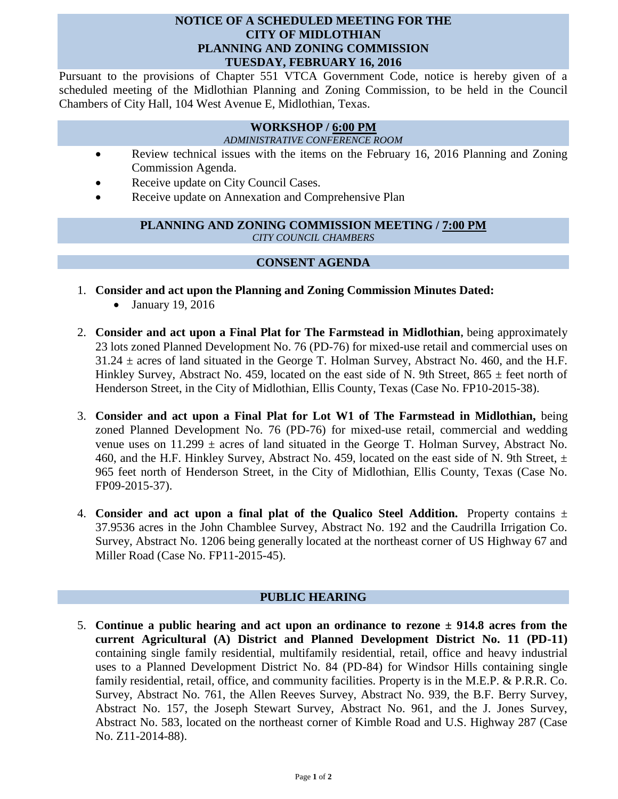# **NOTICE OF A SCHEDULED MEETING FOR THE CITY OF MIDLOTHIAN PLANNING AND ZONING COMMISSION TUESDAY, FEBRUARY 16, 2016**

Pursuant to the provisions of Chapter 551 VTCA Government Code, notice is hereby given of a scheduled meeting of the Midlothian Planning and Zoning Commission, to be held in the Council Chambers of City Hall, 104 West Avenue E, Midlothian, Texas.

# **WORKSHOP / 6:00 PM**

*ADMINISTRATIVE CONFERENCE ROOM*

- Review technical issues with the items on the February 16, 2016 Planning and Zoning Commission Agenda.
- Receive update on City Council Cases.
- Receive update on Annexation and Comprehensive Plan

### **PLANNING AND ZONING COMMISSION MEETING / 7:00 PM** *CITY COUNCIL CHAMBERS*

# **CONSENT AGENDA**

- 1. **Consider and act upon the Planning and Zoning Commission Minutes Dated:** 
	- January 19, 2016
- 2. **Consider and act upon a Final Plat for The Farmstead in Midlothian,** being approximately 23 lots zoned Planned Development No. 76 (PD-76) for mixed-use retail and commercial uses on  $31.24 \pm \text{ acres of land situated in the George T. Holman Survey, Abstract No. 460, and the H.F.}$ Hinkley Survey, Abstract No. 459, located on the east side of N. 9th Street,  $865 \pm$  feet north of Henderson Street, in the City of Midlothian, Ellis County, Texas (Case No. FP10-2015-38).
- 3. **Consider and act upon a Final Plat for Lot W1 of The Farmstead in Midlothian,** being zoned Planned Development No. 76 (PD-76) for mixed-use retail, commercial and wedding venue uses on  $11.299 \pm \text{ acres}$  of land situated in the George T. Holman Survey, Abstract No. 460, and the H.F. Hinkley Survey, Abstract No. 459, located on the east side of N. 9th Street,  $\pm$ 965 feet north of Henderson Street, in the City of Midlothian, Ellis County, Texas (Case No. FP09-2015-37).
- 4. **Consider and act upon a final plat of the Qualico Steel Addition.** Property contains ± 37.9536 acres in the John Chamblee Survey, Abstract No. 192 and the Caudrilla Irrigation Co. Survey, Abstract No. 1206 being generally located at the northeast corner of US Highway 67 and Miller Road (Case No. FP11-2015-45).

# **PUBLIC HEARING**

5. **Continue a public hearing and act upon an ordinance to rezone ± 914.8 acres from the current Agricultural (A) District and Planned Development District No. 11 (PD-11)**  containing single family residential, multifamily residential, retail, office and heavy industrial uses to a Planned Development District No. 84 (PD-84) for Windsor Hills containing single family residential, retail, office, and community facilities. Property is in the M.E.P. & P.R.R. Co. Survey, Abstract No. 761, the Allen Reeves Survey, Abstract No. 939, the B.F. Berry Survey, Abstract No. 157, the Joseph Stewart Survey, Abstract No. 961, and the J. Jones Survey, Abstract No. 583, located on the northeast corner of Kimble Road and U.S. Highway 287 (Case No. Z11-2014-88).